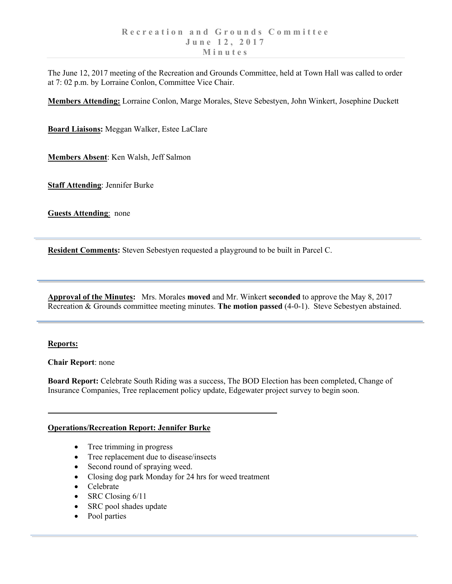The June 12, 2017 meeting of the Recreation and Grounds Committee, held at Town Hall was called to order at 7: 02 p.m. by Lorraine Conlon, Committee Vice Chair.

**Members Attending:** Lorraine Conlon, Marge Morales, Steve Sebestyen, John Winkert, Josephine Duckett

**Board Liaisons:** Meggan Walker, Estee LaClare

**Members Absent**: Ken Walsh, Jeff Salmon

**Staff Attending**: Jennifer Burke

**Guests Attending**: none

**Resident Comments:** Steven Sebestyen requested a playground to be built in Parcel C.

**Approval of the Minutes:** Mrs. Morales **moved** and Mr. Winkert **seconded** to approve the May 8, 2017 Recreation & Grounds committee meeting minutes. **The motion passed** (4-0-1). Steve Sebestyen abstained.

## **Reports:**

**Chair Report**: none

**Board Report:** Celebrate South Riding was a success, The BOD Election has been completed, Change of Insurance Companies, Tree replacement policy update, Edgewater project survey to begin soon.

## **Operations/Recreation Report: Jennifer Burke**

- Tree trimming in progress
- Tree replacement due to disease/insects
- Second round of spraying weed.
- Closing dog park Monday for 24 hrs for weed treatment
- Celebrate
- SRC Closing 6/11
- SRC pool shades update
- Pool parties